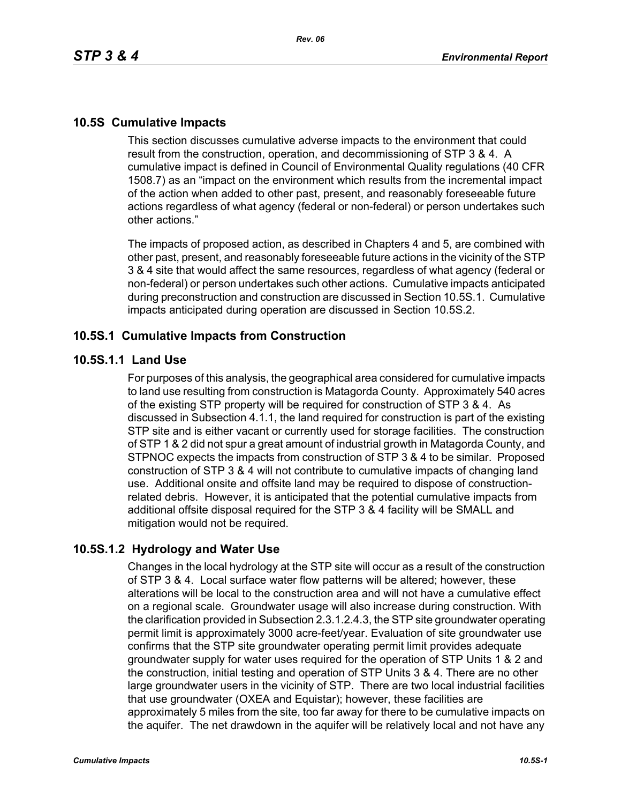# **10.5S Cumulative Impacts**

This section discusses cumulative adverse impacts to the environment that could result from the construction, operation, and decommissioning of STP 3 & 4. A cumulative impact is defined in Council of Environmental Quality regulations (40 CFR 1508.7) as an "impact on the environment which results from the incremental impact of the action when added to other past, present, and reasonably foreseeable future actions regardless of what agency (federal or non-federal) or person undertakes such other actions."

The impacts of proposed action, as described in Chapters 4 and 5, are combined with other past, present, and reasonably foreseeable future actions in the vicinity of the STP 3 & 4 site that would affect the same resources, regardless of what agency (federal or non-federal) or person undertakes such other actions. Cumulative impacts anticipated during preconstruction and construction are discussed in Section 10.5S.1. Cumulative impacts anticipated during operation are discussed in Section 10.5S.2.

### **10.5S.1 Cumulative Impacts from Construction**

#### **10.5S.1.1 Land Use**

For purposes of this analysis, the geographical area considered for cumulative impacts to land use resulting from construction is Matagorda County. Approximately 540 acres of the existing STP property will be required for construction of STP 3 & 4. As discussed in Subsection 4.1.1, the land required for construction is part of the existing STP site and is either vacant or currently used for storage facilities. The construction of STP 1 & 2 did not spur a great amount of industrial growth in Matagorda County, and STPNOC expects the impacts from construction of STP 3 & 4 to be similar. Proposed construction of STP 3 & 4 will not contribute to cumulative impacts of changing land use. Additional onsite and offsite land may be required to dispose of constructionrelated debris. However, it is anticipated that the potential cumulative impacts from additional offsite disposal required for the STP 3 & 4 facility will be SMALL and mitigation would not be required.

## **10.5S.1.2 Hydrology and Water Use**

Changes in the local hydrology at the STP site will occur as a result of the construction of STP 3 & 4. Local surface water flow patterns will be altered; however, these alterations will be local to the construction area and will not have a cumulative effect on a regional scale. Groundwater usage will also increase during construction. With the clarification provided in Subsection 2.3.1.2.4.3, the STP site groundwater operating permit limit is approximately 3000 acre-feet/year. Evaluation of site groundwater use confirms that the STP site groundwater operating permit limit provides adequate groundwater supply for water uses required for the operation of STP Units 1 & 2 and the construction, initial testing and operation of STP Units 3 & 4. There are no other large groundwater users in the vicinity of STP. There are two local industrial facilities that use groundwater (OXEA and Equistar); however, these facilities are approximately 5 miles from the site, too far away for there to be cumulative impacts on the aquifer. The net drawdown in the aquifer will be relatively local and not have any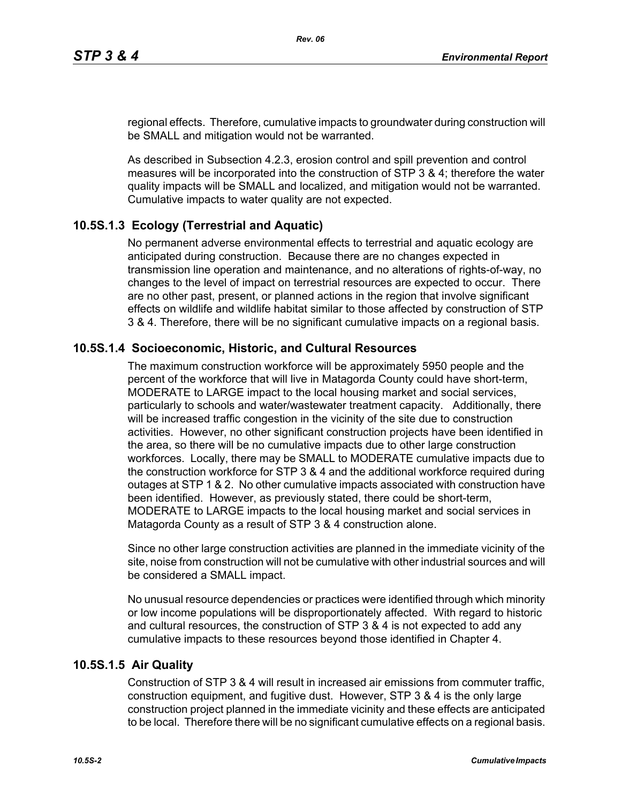regional effects. Therefore, cumulative impacts to groundwater during construction will be SMALL and mitigation would not be warranted.

As described in Subsection 4.2.3, erosion control and spill prevention and control measures will be incorporated into the construction of STP 3 & 4; therefore the water quality impacts will be SMALL and localized, and mitigation would not be warranted. Cumulative impacts to water quality are not expected.

# **10.5S.1.3 Ecology (Terrestrial and Aquatic)**

No permanent adverse environmental effects to terrestrial and aquatic ecology are anticipated during construction. Because there are no changes expected in transmission line operation and maintenance, and no alterations of rights-of-way, no changes to the level of impact on terrestrial resources are expected to occur. There are no other past, present, or planned actions in the region that involve significant effects on wildlife and wildlife habitat similar to those affected by construction of STP 3 & 4. Therefore, there will be no significant cumulative impacts on a regional basis.

## **10.5S.1.4 Socioeconomic, Historic, and Cultural Resources**

The maximum construction workforce will be approximately 5950 people and the percent of the workforce that will live in Matagorda County could have short-term, MODERATE to LARGE impact to the local housing market and social services, particularly to schools and water/wastewater treatment capacity. Additionally, there will be increased traffic congestion in the vicinity of the site due to construction activities. However, no other significant construction projects have been identified in the area, so there will be no cumulative impacts due to other large construction workforces. Locally, there may be SMALL to MODERATE cumulative impacts due to the construction workforce for STP 3 & 4 and the additional workforce required during outages at STP 1 & 2. No other cumulative impacts associated with construction have been identified. However, as previously stated, there could be short-term, MODERATE to LARGE impacts to the local housing market and social services in Matagorda County as a result of STP 3 & 4 construction alone.

Since no other large construction activities are planned in the immediate vicinity of the site, noise from construction will not be cumulative with other industrial sources and will be considered a SMALL impact.

No unusual resource dependencies or practices were identified through which minority or low income populations will be disproportionately affected. With regard to historic and cultural resources, the construction of STP 3 & 4 is not expected to add any cumulative impacts to these resources beyond those identified in Chapter 4.

## **10.5S.1.5 Air Quality**

Construction of STP 3 & 4 will result in increased air emissions from commuter traffic, construction equipment, and fugitive dust. However, STP 3 & 4 is the only large construction project planned in the immediate vicinity and these effects are anticipated to be local. Therefore there will be no significant cumulative effects on a regional basis.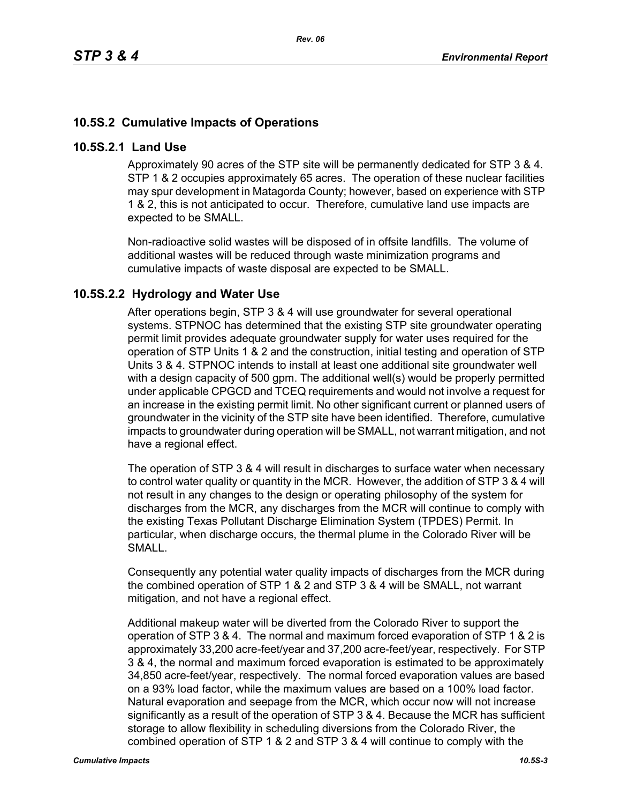# **10.5S.2 Cumulative Impacts of Operations**

#### **10.5S.2.1 Land Use**

Approximately 90 acres of the STP site will be permanently dedicated for STP 3 & 4. STP 1 & 2 occupies approximately 65 acres. The operation of these nuclear facilities may spur development in Matagorda County; however, based on experience with STP 1 & 2, this is not anticipated to occur. Therefore, cumulative land use impacts are expected to be SMALL.

*Rev. 06*

Non-radioactive solid wastes will be disposed of in offsite landfills. The volume of additional wastes will be reduced through waste minimization programs and cumulative impacts of waste disposal are expected to be SMALL.

### **10.5S.2.2 Hydrology and Water Use**

After operations begin, STP 3 & 4 will use groundwater for several operational systems. STPNOC has determined that the existing STP site groundwater operating permit limit provides adequate groundwater supply for water uses required for the operation of STP Units 1 & 2 and the construction, initial testing and operation of STP Units 3 & 4. STPNOC intends to install at least one additional site groundwater well with a design capacity of 500 gpm. The additional well(s) would be properly permitted under applicable CPGCD and TCEQ requirements and would not involve a request for an increase in the existing permit limit. No other significant current or planned users of groundwater in the vicinity of the STP site have been identified. Therefore, cumulative impacts to groundwater during operation will be SMALL, not warrant mitigation, and not have a regional effect.

The operation of STP 3 & 4 will result in discharges to surface water when necessary to control water quality or quantity in the MCR. However, the addition of STP 3 & 4 will not result in any changes to the design or operating philosophy of the system for discharges from the MCR, any discharges from the MCR will continue to comply with the existing Texas Pollutant Discharge Elimination System (TPDES) Permit. In particular, when discharge occurs, the thermal plume in the Colorado River will be SMALL.

Consequently any potential water quality impacts of discharges from the MCR during the combined operation of STP 1 & 2 and STP 3 & 4 will be SMALL, not warrant mitigation, and not have a regional effect.

Additional makeup water will be diverted from the Colorado River to support the operation of STP 3 & 4. The normal and maximum forced evaporation of STP 1 & 2 is approximately 33,200 acre-feet/year and 37,200 acre-feet/year, respectively. For STP 3 & 4, the normal and maximum forced evaporation is estimated to be approximately 34,850 acre-feet/year, respectively. The normal forced evaporation values are based on a 93% load factor, while the maximum values are based on a 100% load factor. Natural evaporation and seepage from the MCR, which occur now will not increase significantly as a result of the operation of STP 3 & 4. Because the MCR has sufficient storage to allow flexibility in scheduling diversions from the Colorado River, the combined operation of STP 1 & 2 and STP 3 & 4 will continue to comply with the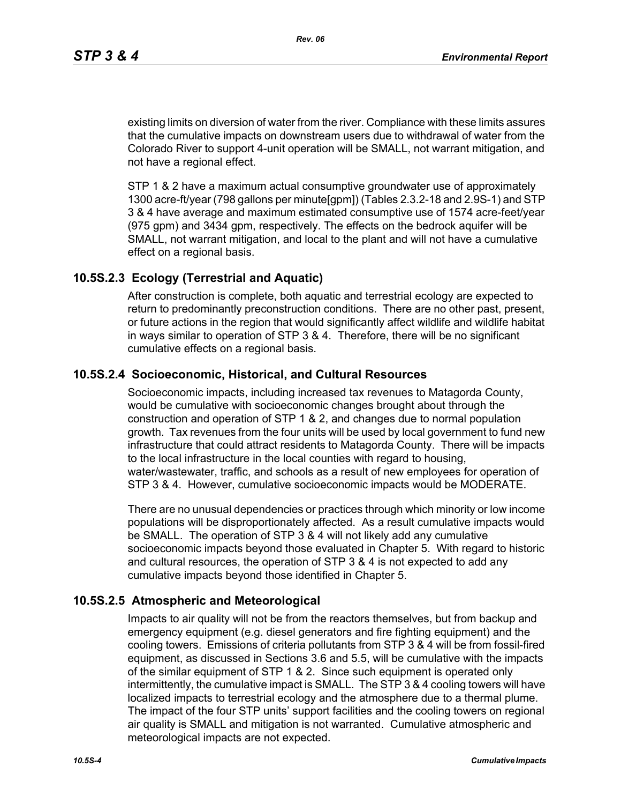existing limits on diversion of water from the river. Compliance with these limits assures that the cumulative impacts on downstream users due to withdrawal of water from the Colorado River to support 4-unit operation will be SMALL, not warrant mitigation, and not have a regional effect.

STP 1 & 2 have a maximum actual consumptive groundwater use of approximately 1300 acre-ft/year (798 gallons per minute[gpm]) (Tables 2.3.2-18 and 2.9S-1) and STP 3 & 4 have average and maximum estimated consumptive use of 1574 acre-feet/year (975 gpm) and 3434 gpm, respectively. The effects on the bedrock aquifer will be SMALL, not warrant mitigation, and local to the plant and will not have a cumulative effect on a regional basis.

### **10.5S.2.3 Ecology (Terrestrial and Aquatic)**

After construction is complete, both aquatic and terrestrial ecology are expected to return to predominantly preconstruction conditions. There are no other past, present, or future actions in the region that would significantly affect wildlife and wildlife habitat in ways similar to operation of STP 3 & 4. Therefore, there will be no significant cumulative effects on a regional basis.

# **10.5S.2.4 Socioeconomic, Historical, and Cultural Resources**

Socioeconomic impacts, including increased tax revenues to Matagorda County, would be cumulative with socioeconomic changes brought about through the construction and operation of STP 1 & 2, and changes due to normal population growth. Tax revenues from the four units will be used by local government to fund new infrastructure that could attract residents to Matagorda County. There will be impacts to the local infrastructure in the local counties with regard to housing, water/wastewater, traffic, and schools as a result of new employees for operation of STP 3 & 4. However, cumulative socioeconomic impacts would be MODERATE.

There are no unusual dependencies or practices through which minority or low income populations will be disproportionately affected. As a result cumulative impacts would be SMALL. The operation of STP 3 & 4 will not likely add any cumulative socioeconomic impacts beyond those evaluated in Chapter 5. With regard to historic and cultural resources, the operation of STP 3 & 4 is not expected to add any cumulative impacts beyond those identified in Chapter 5.

#### **10.5S.2.5 Atmospheric and Meteorological**

Impacts to air quality will not be from the reactors themselves, but from backup and emergency equipment (e.g. diesel generators and fire fighting equipment) and the cooling towers. Emissions of criteria pollutants from STP 3 & 4 will be from fossil-fired equipment, as discussed in Sections 3.6 and 5.5, will be cumulative with the impacts of the similar equipment of STP 1 & 2. Since such equipment is operated only intermittently, the cumulative impact is SMALL. The STP 3 & 4 cooling towers will have localized impacts to terrestrial ecology and the atmosphere due to a thermal plume. The impact of the four STP units' support facilities and the cooling towers on regional air quality is SMALL and mitigation is not warranted. Cumulative atmospheric and meteorological impacts are not expected.